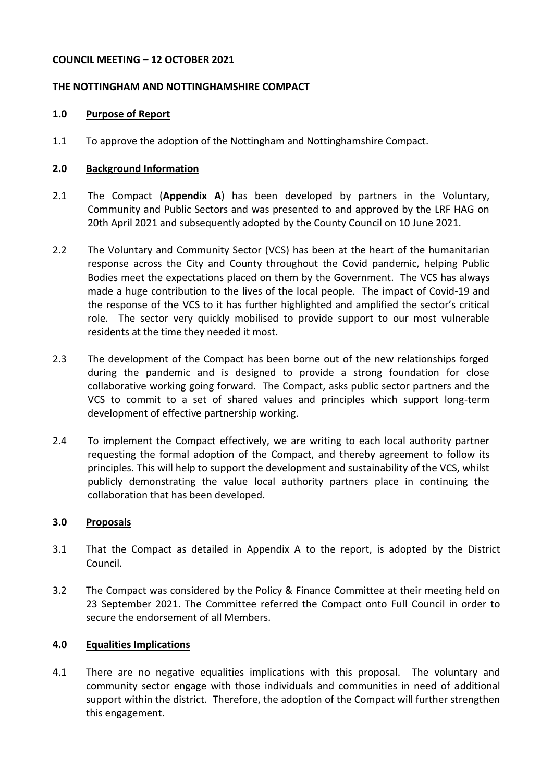#### **COUNCIL MEETING – 12 OCTOBER 2021**

### **THE NOTTINGHAM AND NOTTINGHAMSHIRE COMPACT**

### **1.0 Purpose of Report**

1.1 To approve the adoption of the Nottingham and Nottinghamshire Compact.

## **2.0 Background Information**

- 2.1 The Compact (**Appendix A**) has been developed by partners in the Voluntary, Community and Public Sectors and was presented to and approved by the LRF HAG on 20th April 2021 and subsequently adopted by the County Council on 10 June 2021.
- 2.2 The Voluntary and Community Sector (VCS) has been at the heart of the humanitarian response across the City and County throughout the Covid pandemic, helping Public Bodies meet the expectations placed on them by the Government. The VCS has always made a huge contribution to the lives of the local people. The impact of Covid-19 and the response of the VCS to it has further highlighted and amplified the sector's critical role. The sector very quickly mobilised to provide support to our most vulnerable residents at the time they needed it most.
- 2.3 The development of the Compact has been borne out of the new relationships forged during the pandemic and is designed to provide a strong foundation for close collaborative working going forward. The Compact, asks public sector partners and the VCS to commit to a set of shared values and principles which support long-term development of effective partnership working.
- 2.4 To implement the Compact effectively, we are writing to each local authority partner requesting the formal adoption of the Compact, and thereby agreement to follow its principles. This will help to support the development and sustainability of the VCS, whilst publicly demonstrating the value local authority partners place in continuing the collaboration that has been developed.

## **3.0 Proposals**

- 3.1 That the Compact as detailed in Appendix A to the report, is adopted by the District Council.
- 3.2 The Compact was considered by the Policy & Finance Committee at their meeting held on 23 September 2021. The Committee referred the Compact onto Full Council in order to secure the endorsement of all Members.

# **4.0 Equalities Implications**

4.1 There are no negative equalities implications with this proposal. The voluntary and community sector engage with those individuals and communities in need of additional support within the district. Therefore, the adoption of the Compact will further strengthen this engagement.